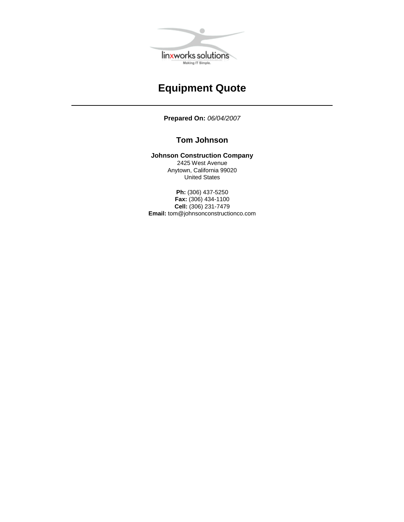

# **Equipment Quote**

**Prepared On:** *06/04/2007*

#### **Tom Johnson**

**Johnson Construction Company**

2425 West Avenue Anytown, California 99020 United States

**Ph:** (306) 437-5250 **Fax:** (306) 434-1100 **Cell:** (306) 231-7479 **Email:** [tom@johnsonconstructionco.com](mailto:tom@johnsonconstructionco.com)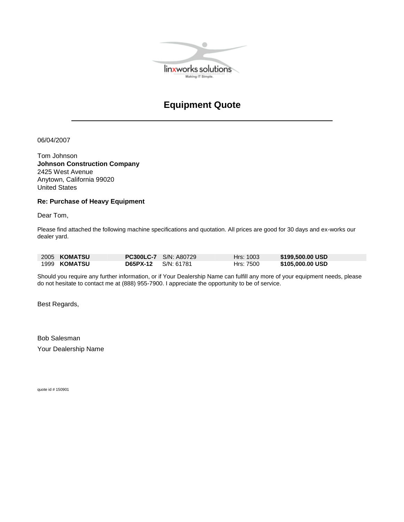

# **Equipment Quote**

06/04/2007

Tom Johnson **Johnson Construction Company** 2425 West Avenue Anytown, California 99020 United States

#### **Re: Purchase of Heavy Equipment**

Dear Tom,

Please find attached the following machine specifications and quotation. All prices are good for 30 days and ex-works our dealer yard.

| 2005 <b>KOMATSU</b> |                       | <b>PC300LC-7</b> S/N: A80729 | Hrs: 1003 | \$199,500.00 USD |
|---------------------|-----------------------|------------------------------|-----------|------------------|
| 1999 KOMATSU        | $D65PX-12$ S/N: 61781 |                              | Hrs: 7500 | \$105,000.00 USD |

Should you require any further information, or if Your Dealership Name can fulfill any more of your equipment needs, please do not hesitate to contact me at (888) 955-7900. I appreciate the opportunity to be of service.

Best Regards,

Bob Salesman Your Dealership Name

quote id # 150901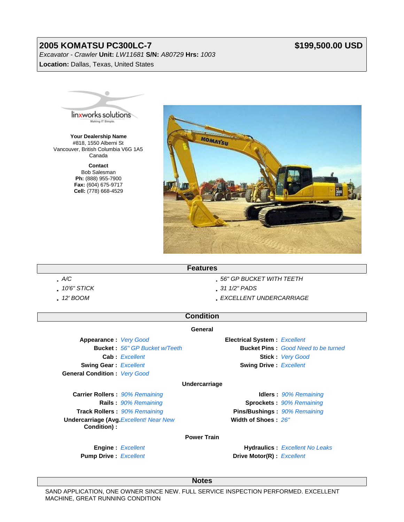## **2005 KOMATSU PC300LC-7**

### **\$199,500.00 USD**

*Excavator - Crawler* **Unit:** *LW11681* **S/N:** *A80729* **Hrs:** *1003* **Location:** Dallas, Texas, United States



**Your Dealership Name** #818, 1550 Alberni St Vancouver, British Columbia V6G 1A5 Canada

> **Contact** Bob Salesman **Ph:** (888) 955-7900 **Fax:** (604) 675-9717 **Cell:** (778) 668-4529



#### **Features**

- 
- 
- 
- *A/C 56" GP BUCKET WITH TEETH*
- *10'6" STICK 31 1/2" PADS*
- *12' BOOM EXCELLENT UNDERCARRIAGE*

## **Condition**

#### **General**

**Appearance :** *Very Good* **Electrical System :** *Excellent* **Cab :** *Excellent* **Stick :** *Very Good* **Swing Gear :** *Excellent* **Swing Drive :** *Excellent* **Swing Drive :** *Excellent* **General Condition :** *Very Good*

**Bucket :** *56" GP Bucket w/Teeth* **Bucket Pins :** *Good Need to be turned*

#### **Undercarriage**

**Carrier Rollers :** *90% Remaining* **Idlers :** *90% Remaining* **Track Rollers :** *90% Remaining* **Pins/Bushings :** *90% Remaining* **Undercarriage (Avg.***Excellent! Near New* **Width of Shoes :** *26"* **Condition) :**

**Rails :** *90% Remaining* **Sprockets :** *90% Remaining*

**Engine :** *Excellent* **Hydraulics :** *Excellent No Leaks* **Pump Drive :** *Excellent* **Drive Motor(R) :** *Excellent* 

**Notes**

**Power Train**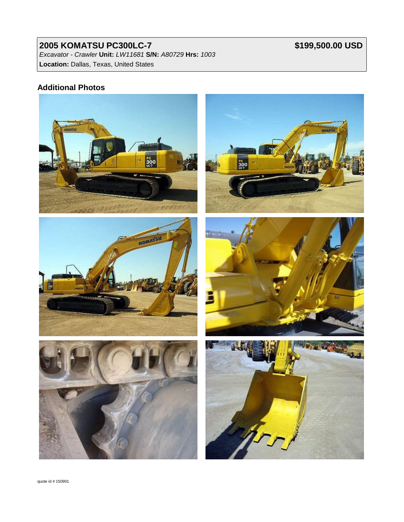### **2005 KOMATSU PC300LC-7** *Excavator - Crawler* **Unit:** *LW11681* **S/N:** *A80729* **Hrs:** *1003* **Location:** Dallas, Texas, United States

# **\$199,500.00 USD**

### **Additional Photos**

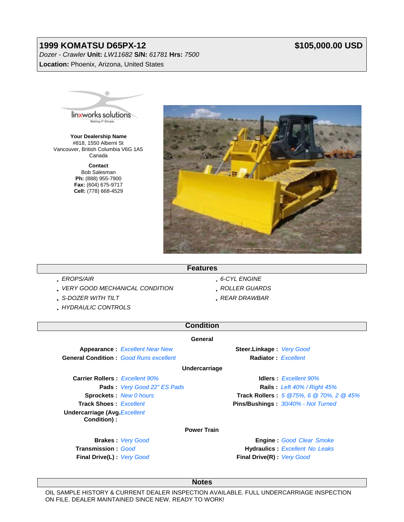### **1999 KOMATSU D65PX-12**

*Dozer - Crawler* **Unit:** *LW11682* **S/N:** *61781* **Hrs:** *7500* **Location:** Phoenix, Arizona, United States

### **\$105,000.00 USD**



**Your Dealership Name** #818, 1550 Alberni St Vancouver, British Columbia V6G 1A5 Canada

> **Contact** Bob Salesman **Ph:** (888) 955-7900 **Fax:** (604) 675-9717 **Cell:** (778) 668-4529



#### **Features**

- 
- *VERY GOOD MECHANICAL CONDITION ROLLER GUARDS*
- *S-DOZER WITH TILT REAR DRAWBAR*
- *HYDRAULIC CONTROLS*
- *EROPS/AIR 6-CYL ENGINE* 
	-
	-

## **Condition**

#### **General**

**Appearance :** *Excellent Near New* **Steer.Linkage :** *Very Good* **General Condition :** *Good Runs excellent* **Radiator :** *Excellent*

**Undercarriage**

**Carrier Rollers :** *Excellent 90%* **Idlers :** *Excellent 90%* **Undercarriage (Avg.***Excellent* **Condition) :**

**Pads :** *Very Good 22" ES Pads* **Rails :** *Left 40% / Right 45%* **Sprockets :** *New 0 hours* **Track Rollers :** *5 @75%, 6 @ 70%, 2 @ 45%* **Track Shoes :** *Excellent* **Pins/Bushings :** *30/40% - Not Turned*

#### **Power Train**

**Brakes :**  *Very Good*  **Transmission :**  *Good* **Final Drive(L) :** *Very Good*

**Engine :**  *Good Clear Smoke*  **Hydraulics :**  *Excellent No Leaks*  **Final Drive(R) :** *Very Good*

**Notes**